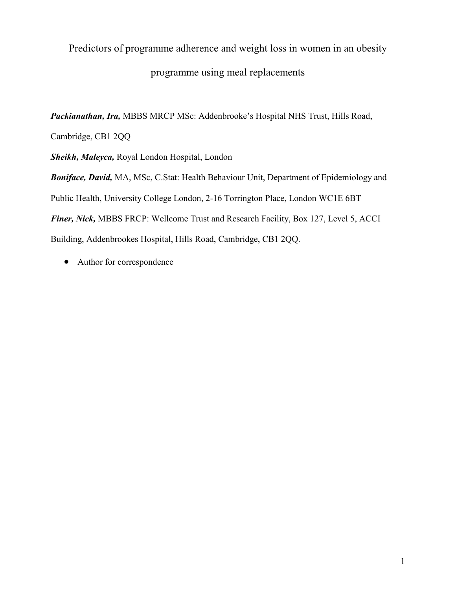# Predictors of programme adherence and weight loss in women in an obesity programme using meal replacements

Packianathan, Ira, MBBS MRCP MSc: Addenbrooke's Hospital NHS Trust, Hills Road,

Cambridge, CB1 2QQ

Sheikh, Maleyca, Royal London Hospital, London

Boniface, David, MA, MSc, C.Stat: Health Behaviour Unit, Department of Epidemiology and Public Health, University College London, 2-16 Torrington Place, London WC1E 6BT Finer, Nick, MBBS FRCP: Wellcome Trust and Research Facility, Box 127, Level 5, ACCI Building, Addenbrookes Hospital, Hills Road, Cambridge, CB1 2QQ.

• Author for correspondence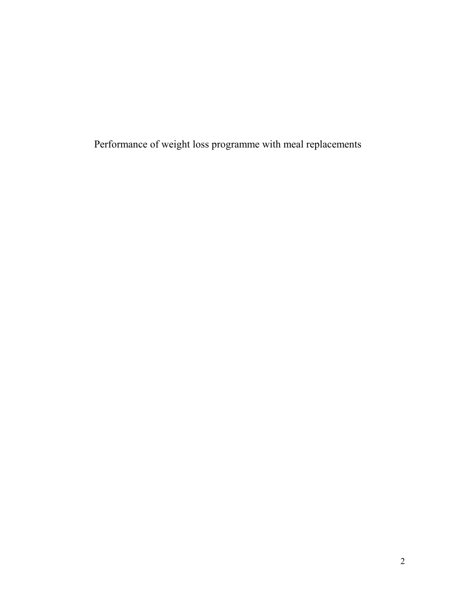Performance of weight loss programme with meal replacements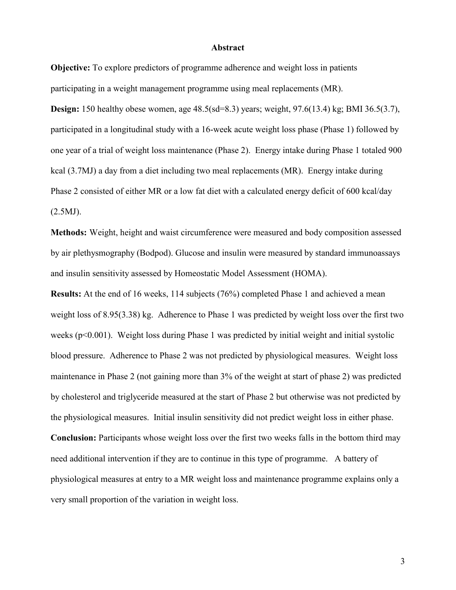#### Abstract

Objective: To explore predictors of programme adherence and weight loss in patients participating in a weight management programme using meal replacements (MR).

Design: 150 healthy obese women, age 48.5(sd=8.3) years; weight, 97.6(13.4) kg; BMI 36.5(3.7), participated in a longitudinal study with a 16-week acute weight loss phase (Phase 1) followed by one year of a trial of weight loss maintenance (Phase 2). Energy intake during Phase 1 totaled 900 kcal (3.7MJ) a day from a diet including two meal replacements (MR). Energy intake during Phase 2 consisted of either MR or a low fat diet with a calculated energy deficit of 600 kcal/day  $(2.5MJ)$ .

Methods: Weight, height and waist circumference were measured and body composition assessed by air plethysmography (Bodpod). Glucose and insulin were measured by standard immunoassays and insulin sensitivity assessed by Homeostatic Model Assessment (HOMA).

Results: At the end of 16 weeks, 114 subjects (76%) completed Phase 1 and achieved a mean weight loss of 8.95(3.38) kg. Adherence to Phase 1 was predicted by weight loss over the first two weeks (p<0.001). Weight loss during Phase 1 was predicted by initial weight and initial systolic blood pressure. Adherence to Phase 2 was not predicted by physiological measures. Weight loss maintenance in Phase 2 (not gaining more than 3% of the weight at start of phase 2) was predicted by cholesterol and triglyceride measured at the start of Phase 2 but otherwise was not predicted by the physiological measures. Initial insulin sensitivity did not predict weight loss in either phase. Conclusion: Participants whose weight loss over the first two weeks falls in the bottom third may need additional intervention if they are to continue in this type of programme. A battery of physiological measures at entry to a MR weight loss and maintenance programme explains only a very small proportion of the variation in weight loss.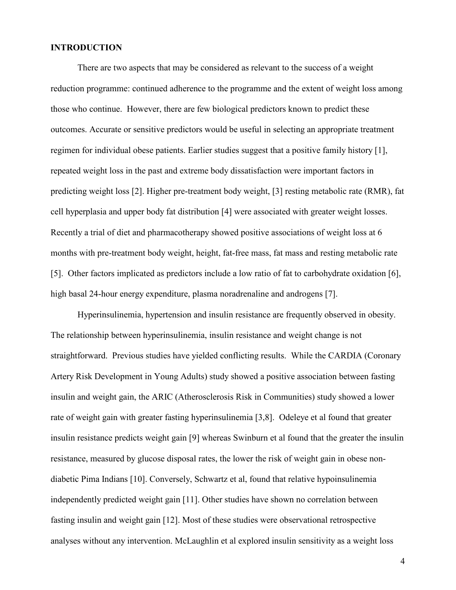#### **INTRODUCTION**

There are two aspects that may be considered as relevant to the success of a weight reduction programme: continued adherence to the programme and the extent of weight loss among those who continue. However, there are few biological predictors known to predict these outcomes. Accurate or sensitive predictors would be useful in selecting an appropriate treatment regimen for individual obese patients. Earlier studies suggest that a positive family history [1], repeated weight loss in the past and extreme body dissatisfaction were important factors in predicting weight loss [2]. Higher pre-treatment body weight, [3] resting metabolic rate (RMR), fat cell hyperplasia and upper body fat distribution [4] were associated with greater weight losses. Recently a trial of diet and pharmacotherapy showed positive associations of weight loss at 6 months with pre-treatment body weight, height, fat-free mass, fat mass and resting metabolic rate [5]. Other factors implicated as predictors include a low ratio of fat to carbohydrate oxidation [6], high basal 24-hour energy expenditure, plasma noradrenaline and androgens [7].

Hyperinsulinemia, hypertension and insulin resistance are frequently observed in obesity. The relationship between hyperinsulinemia, insulin resistance and weight change is not straightforward. Previous studies have yielded conflicting results. While the CARDIA (Coronary Artery Risk Development in Young Adults) study showed a positive association between fasting insulin and weight gain, the ARIC (Atherosclerosis Risk in Communities) study showed a lower rate of weight gain with greater fasting hyperinsulinemia [3,8]. Odeleye et al found that greater insulin resistance predicts weight gain [9] whereas Swinburn et al found that the greater the insulin resistance, measured by glucose disposal rates, the lower the risk of weight gain in obese nondiabetic Pima Indians [10]. Conversely, Schwartz et al, found that relative hypoinsulinemia independently predicted weight gain [11]. Other studies have shown no correlation between fasting insulin and weight gain [12]. Most of these studies were observational retrospective analyses without any intervention. McLaughlin et al explored insulin sensitivity as a weight loss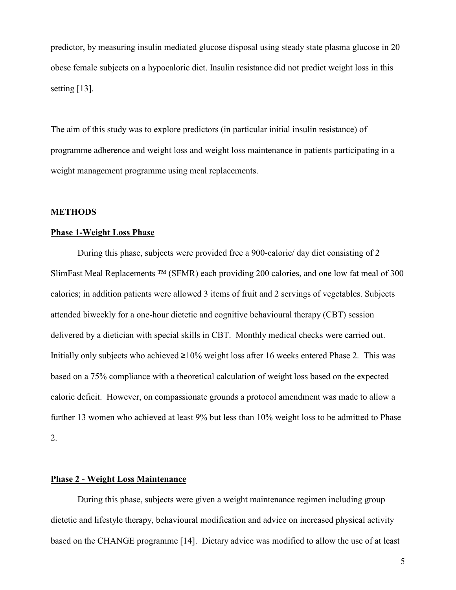predictor, by measuring insulin mediated glucose disposal using steady state plasma glucose in 20 obese female subjects on a hypocaloric diet. Insulin resistance did not predict weight loss in this setting [13].

The aim of this study was to explore predictors (in particular initial insulin resistance) of programme adherence and weight loss and weight loss maintenance in patients participating in a weight management programme using meal replacements.

#### METHODS

#### Phase 1-Weight Loss Phase

 During this phase, subjects were provided free a 900-calorie/ day diet consisting of 2 SlimFast Meal Replacements ™ (SFMR) each providing 200 calories, and one low fat meal of 300 calories; in addition patients were allowed 3 items of fruit and 2 servings of vegetables. Subjects attended biweekly for a one-hour dietetic and cognitive behavioural therapy (CBT) session delivered by a dietician with special skills in CBT. Monthly medical checks were carried out. Initially only subjects who achieved  $\geq 10\%$  weight loss after 16 weeks entered Phase 2. This was based on a 75% compliance with a theoretical calculation of weight loss based on the expected caloric deficit. However, on compassionate grounds a protocol amendment was made to allow a further 13 women who achieved at least 9% but less than 10% weight loss to be admitted to Phase 2.

### Phase 2 - Weight Loss Maintenance

 During this phase, subjects were given a weight maintenance regimen including group dietetic and lifestyle therapy, behavioural modification and advice on increased physical activity based on the CHANGE programme [14]. Dietary advice was modified to allow the use of at least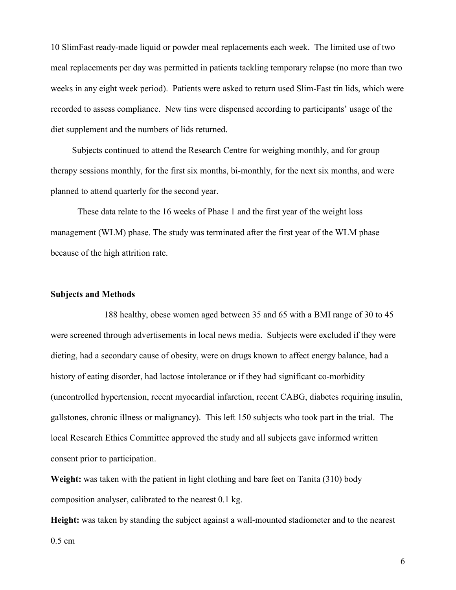10 SlimFast ready-made liquid or powder meal replacements each week. The limited use of two meal replacements per day was permitted in patients tackling temporary relapse (no more than two weeks in any eight week period). Patients were asked to return used Slim-Fast tin lids, which were recorded to assess compliance. New tins were dispensed according to participants' usage of the diet supplement and the numbers of lids returned.

 Subjects continued to attend the Research Centre for weighing monthly, and for group therapy sessions monthly, for the first six months, bi-monthly, for the next six months, and were planned to attend quarterly for the second year.

 These data relate to the 16 weeks of Phase 1 and the first year of the weight loss management (WLM) phase. The study was terminated after the first year of the WLM phase because of the high attrition rate.

#### Subjects and Methods

 188 healthy, obese women aged between 35 and 65 with a BMI range of 30 to 45 were screened through advertisements in local news media. Subjects were excluded if they were dieting, had a secondary cause of obesity, were on drugs known to affect energy balance, had a history of eating disorder, had lactose intolerance or if they had significant co-morbidity (uncontrolled hypertension, recent myocardial infarction, recent CABG, diabetes requiring insulin, gallstones, chronic illness or malignancy). This left 150 subjects who took part in the trial. The local Research Ethics Committee approved the study and all subjects gave informed written consent prior to participation.

Weight: was taken with the patient in light clothing and bare feet on Tanita (310) body composition analyser, calibrated to the nearest 0.1 kg.

Height: was taken by standing the subject against a wall-mounted stadiometer and to the nearest 0.5 cm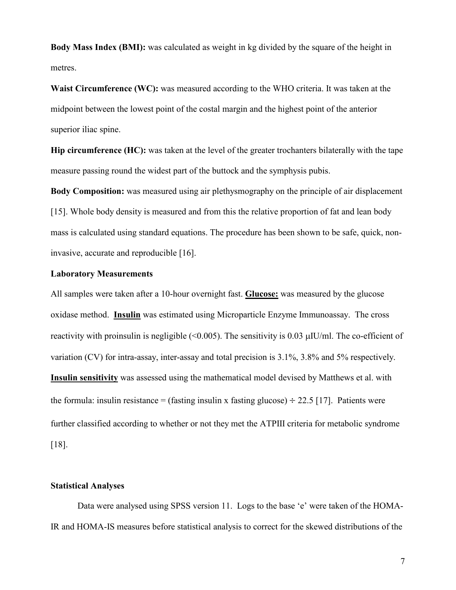Body Mass Index (BMI): was calculated as weight in kg divided by the square of the height in metres.

Waist Circumference (WC): was measured according to the WHO criteria. It was taken at the midpoint between the lowest point of the costal margin and the highest point of the anterior superior iliac spine.

Hip circumference (HC): was taken at the level of the greater trochanters bilaterally with the tape measure passing round the widest part of the buttock and the symphysis pubis.

Body Composition: was measured using air plethysmography on the principle of air displacement [15]. Whole body density is measured and from this the relative proportion of fat and lean body mass is calculated using standard equations. The procedure has been shown to be safe, quick, noninvasive, accurate and reproducible [16].

#### Laboratory Measurements

All samples were taken after a 10-hour overnight fast. Glucose: was measured by the glucose oxidase method. Insulin was estimated using Microparticle Enzyme Immunoassay. The cross reactivity with proinsulin is negligible  $(\leq 0.005)$ . The sensitivity is 0.03  $\mu$ IU/ml. The co-efficient of variation (CV) for intra-assay, inter-assay and total precision is 3.1%, 3.8% and 5% respectively. Insulin sensitivity was assessed using the mathematical model devised by Matthews et al. with the formula: insulin resistance = (fasting insulin x fasting glucose)  $\div$  22.5 [17]. Patients were further classified according to whether or not they met the ATPIII criteria for metabolic syndrome [18].

#### Statistical Analyses

 Data were analysed using SPSS version 11. Logs to the base 'e' were taken of the HOMA-IR and HOMA-IS measures before statistical analysis to correct for the skewed distributions of the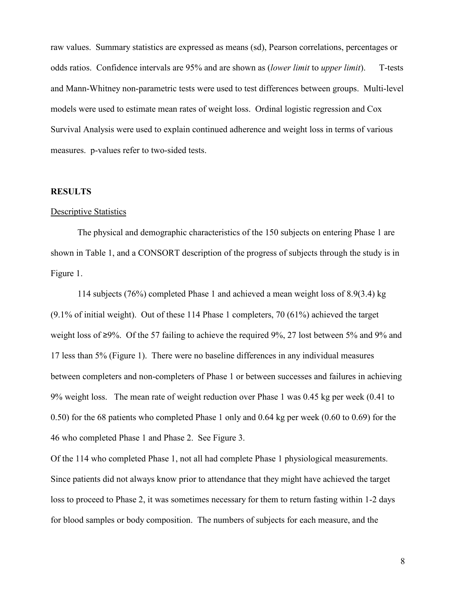raw values. Summary statistics are expressed as means (sd), Pearson correlations, percentages or odds ratios. Confidence intervals are 95% and are shown as (lower limit to upper limit). T-tests and Mann-Whitney non-parametric tests were used to test differences between groups. Multi-level models were used to estimate mean rates of weight loss. Ordinal logistic regression and Cox Survival Analysis were used to explain continued adherence and weight loss in terms of various measures. p-values refer to two-sided tests.

#### RESULTS

#### Descriptive Statistics

The physical and demographic characteristics of the 150 subjects on entering Phase 1 are shown in Table 1, and a CONSORT description of the progress of subjects through the study is in Figure 1.

114 subjects (76%) completed Phase 1 and achieved a mean weight loss of 8.9(3.4) kg (9.1% of initial weight). Out of these 114 Phase 1 completers, 70 (61%) achieved the target weight loss of ≥9%. Of the 57 failing to achieve the required 9%, 27 lost between 5% and 9% and 17 less than 5% (Figure 1). There were no baseline differences in any individual measures between completers and non-completers of Phase 1 or between successes and failures in achieving 9% weight loss. The mean rate of weight reduction over Phase 1 was 0.45 kg per week (0.41 to 0.50) for the 68 patients who completed Phase 1 only and 0.64 kg per week (0.60 to 0.69) for the 46 who completed Phase 1 and Phase 2. See Figure 3.

Of the 114 who completed Phase 1, not all had complete Phase 1 physiological measurements. Since patients did not always know prior to attendance that they might have achieved the target loss to proceed to Phase 2, it was sometimes necessary for them to return fasting within 1-2 days for blood samples or body composition. The numbers of subjects for each measure, and the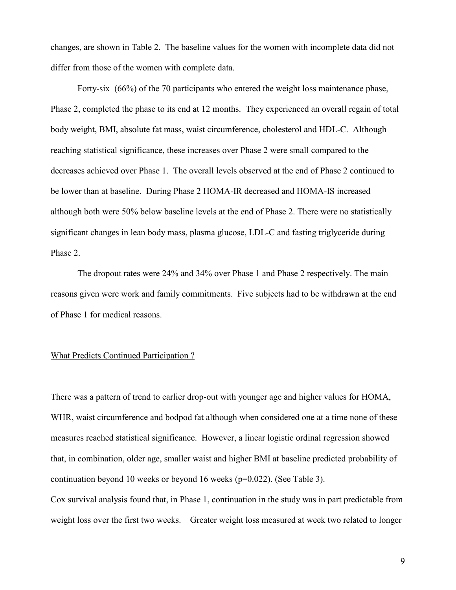changes, are shown in Table 2. The baseline values for the women with incomplete data did not differ from those of the women with complete data.

Forty-six (66%) of the 70 participants who entered the weight loss maintenance phase, Phase 2, completed the phase to its end at 12 months. They experienced an overall regain of total body weight, BMI, absolute fat mass, waist circumference, cholesterol and HDL-C. Although reaching statistical significance, these increases over Phase 2 were small compared to the decreases achieved over Phase 1. The overall levels observed at the end of Phase 2 continued to be lower than at baseline. During Phase 2 HOMA-IR decreased and HOMA-IS increased although both were 50% below baseline levels at the end of Phase 2. There were no statistically significant changes in lean body mass, plasma glucose, LDL-C and fasting triglyceride during Phase 2.

The dropout rates were 24% and 34% over Phase 1 and Phase 2 respectively. The main reasons given were work and family commitments. Five subjects had to be withdrawn at the end of Phase 1 for medical reasons.

#### What Predicts Continued Participation ?

There was a pattern of trend to earlier drop-out with younger age and higher values for HOMA, WHR, waist circumference and bodpod fat although when considered one at a time none of these measures reached statistical significance. However, a linear logistic ordinal regression showed that, in combination, older age, smaller waist and higher BMI at baseline predicted probability of continuation beyond 10 weeks or beyond 16 weeks (p=0.022). (See Table 3).

Cox survival analysis found that, in Phase 1, continuation in the study was in part predictable from weight loss over the first two weeks. Greater weight loss measured at week two related to longer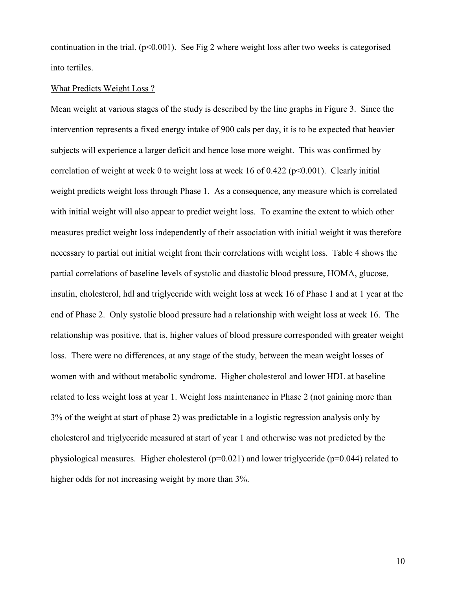continuation in the trial.  $(p<0.001)$ . See Fig 2 where weight loss after two weeks is categorised into tertiles.

#### What Predicts Weight Loss ?

Mean weight at various stages of the study is described by the line graphs in Figure 3. Since the intervention represents a fixed energy intake of 900 cals per day, it is to be expected that heavier subjects will experience a larger deficit and hence lose more weight. This was confirmed by correlation of weight at week 0 to weight loss at week 16 of 0.422 ( $p<0.001$ ). Clearly initial weight predicts weight loss through Phase 1. As a consequence, any measure which is correlated with initial weight will also appear to predict weight loss. To examine the extent to which other measures predict weight loss independently of their association with initial weight it was therefore necessary to partial out initial weight from their correlations with weight loss. Table 4 shows the partial correlations of baseline levels of systolic and diastolic blood pressure, HOMA, glucose, insulin, cholesterol, hdl and triglyceride with weight loss at week 16 of Phase 1 and at 1 year at the end of Phase 2. Only systolic blood pressure had a relationship with weight loss at week 16. The relationship was positive, that is, higher values of blood pressure corresponded with greater weight loss. There were no differences, at any stage of the study, between the mean weight losses of women with and without metabolic syndrome. Higher cholesterol and lower HDL at baseline related to less weight loss at year 1. Weight loss maintenance in Phase 2 (not gaining more than 3% of the weight at start of phase 2) was predictable in a logistic regression analysis only by cholesterol and triglyceride measured at start of year 1 and otherwise was not predicted by the physiological measures. Higher cholesterol (p=0.021) and lower triglyceride (p=0.044) related to higher odds for not increasing weight by more than 3%.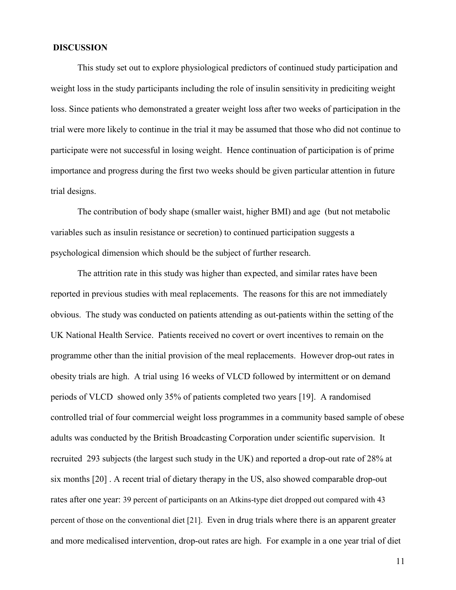#### DISCUSSION

This study set out to explore physiological predictors of continued study participation and weight loss in the study participants including the role of insulin sensitivity in prediciting weight loss. Since patients who demonstrated a greater weight loss after two weeks of participation in the trial were more likely to continue in the trial it may be assumed that those who did not continue to participate were not successful in losing weight. Hence continuation of participation is of prime importance and progress during the first two weeks should be given particular attention in future trial designs.

The contribution of body shape (smaller waist, higher BMI) and age (but not metabolic variables such as insulin resistance or secretion) to continued participation suggests a psychological dimension which should be the subject of further research.

The attrition rate in this study was higher than expected, and similar rates have been reported in previous studies with meal replacements. The reasons for this are not immediately obvious. The study was conducted on patients attending as out-patients within the setting of the UK National Health Service. Patients received no covert or overt incentives to remain on the programme other than the initial provision of the meal replacements. However drop-out rates in obesity trials are high. A trial using 16 weeks of VLCD followed by intermittent or on demand periods of VLCD showed only 35% of patients completed two years [19]. A randomised controlled trial of four commercial weight loss programmes in a community based sample of obese adults was conducted by the British Broadcasting Corporation under scientific supervision. It recruited 293 subjects (the largest such study in the UK) and reported a drop-out rate of 28% at six months [20] . A recent trial of dietary therapy in the US, also showed comparable drop-out rates after one year: 39 percent of participants on an Atkins-type diet dropped out compared with 43 percent of those on the conventional diet [21]. Even in drug trials where there is an apparent greater and more medicalised intervention, drop-out rates are high. For example in a one year trial of diet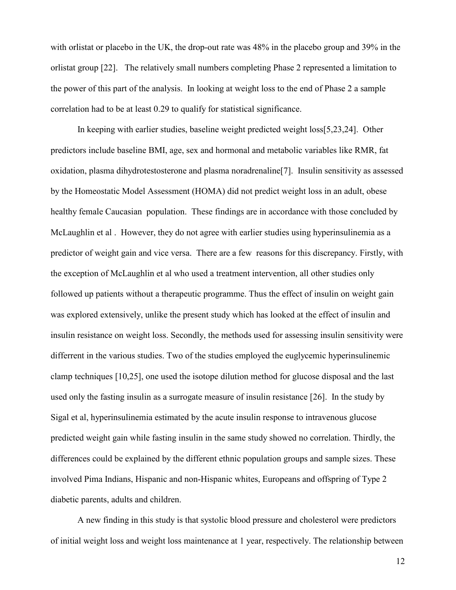with orlistat or placebo in the UK, the drop-out rate was 48% in the placebo group and 39% in the orlistat group [22]. The relatively small numbers completing Phase 2 represented a limitation to the power of this part of the analysis. In looking at weight loss to the end of Phase 2 a sample correlation had to be at least 0.29 to qualify for statistical significance.

In keeping with earlier studies, baseline weight predicted weight loss[5,23,24]. Other predictors include baseline BMI, age, sex and hormonal and metabolic variables like RMR, fat oxidation, plasma dihydrotestosterone and plasma noradrenaline[7]. Insulin sensitivity as assessed by the Homeostatic Model Assessment (HOMA) did not predict weight loss in an adult, obese healthy female Caucasian population. These findings are in accordance with those concluded by McLaughlin et al . However, they do not agree with earlier studies using hyperinsulinemia as a predictor of weight gain and vice versa. There are a few reasons for this discrepancy. Firstly, with the exception of McLaughlin et al who used a treatment intervention, all other studies only followed up patients without a therapeutic programme. Thus the effect of insulin on weight gain was explored extensively, unlike the present study which has looked at the effect of insulin and insulin resistance on weight loss. Secondly, the methods used for assessing insulin sensitivity were differrent in the various studies. Two of the studies employed the euglycemic hyperinsulinemic clamp techniques [10,25], one used the isotope dilution method for glucose disposal and the last used only the fasting insulin as a surrogate measure of insulin resistance [26]. In the study by Sigal et al, hyperinsulinemia estimated by the acute insulin response to intravenous glucose predicted weight gain while fasting insulin in the same study showed no correlation. Thirdly, the differences could be explained by the different ethnic population groups and sample sizes. These involved Pima Indians, Hispanic and non-Hispanic whites, Europeans and offspring of Type 2 diabetic parents, adults and children.

A new finding in this study is that systolic blood pressure and cholesterol were predictors of initial weight loss and weight loss maintenance at 1 year, respectively. The relationship between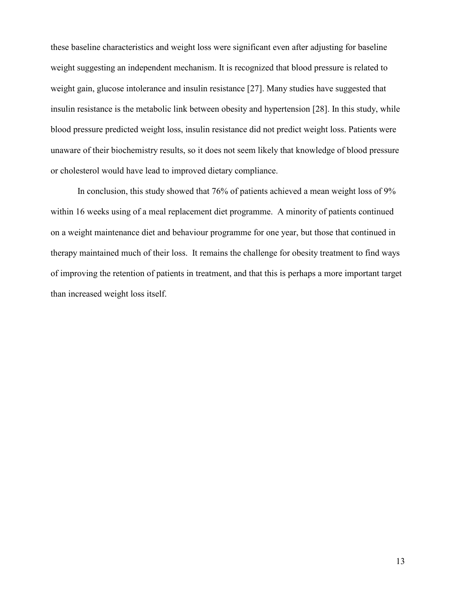these baseline characteristics and weight loss were significant even after adjusting for baseline weight suggesting an independent mechanism. It is recognized that blood pressure is related to weight gain, glucose intolerance and insulin resistance [27]. Many studies have suggested that insulin resistance is the metabolic link between obesity and hypertension [28]. In this study, while blood pressure predicted weight loss, insulin resistance did not predict weight loss. Patients were unaware of their biochemistry results, so it does not seem likely that knowledge of blood pressure or cholesterol would have lead to improved dietary compliance.

In conclusion, this study showed that 76% of patients achieved a mean weight loss of 9% within 16 weeks using of a meal replacement diet programme. A minority of patients continued on a weight maintenance diet and behaviour programme for one year, but those that continued in therapy maintained much of their loss. It remains the challenge for obesity treatment to find ways of improving the retention of patients in treatment, and that this is perhaps a more important target than increased weight loss itself.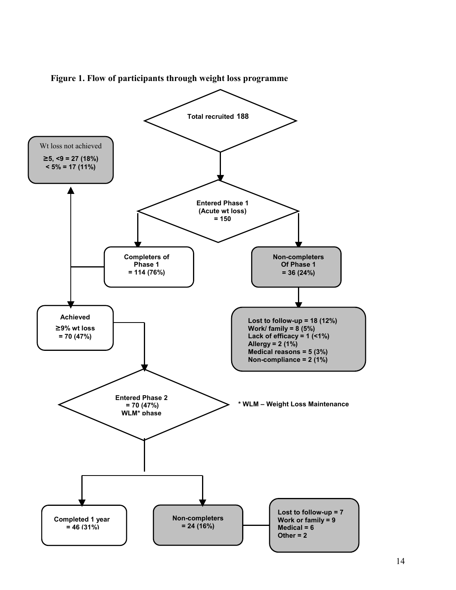

Figure 1. Flow of participants through weight loss programme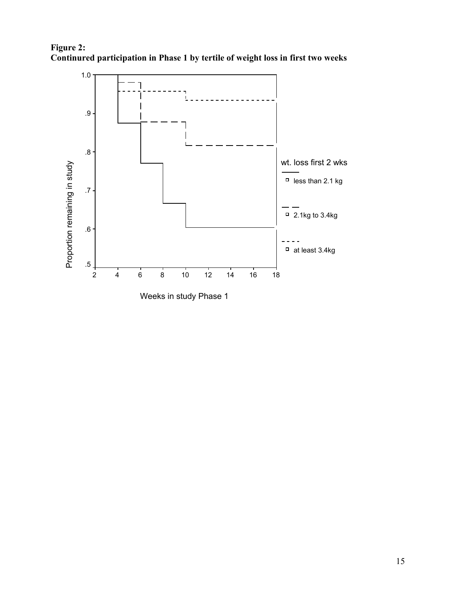



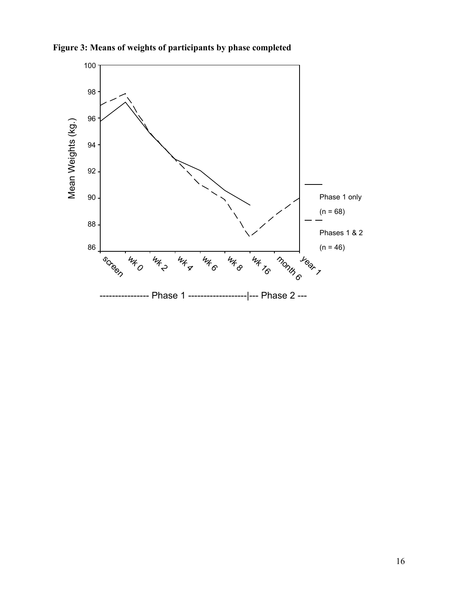

Figure 3: Means of weights of participants by phase completed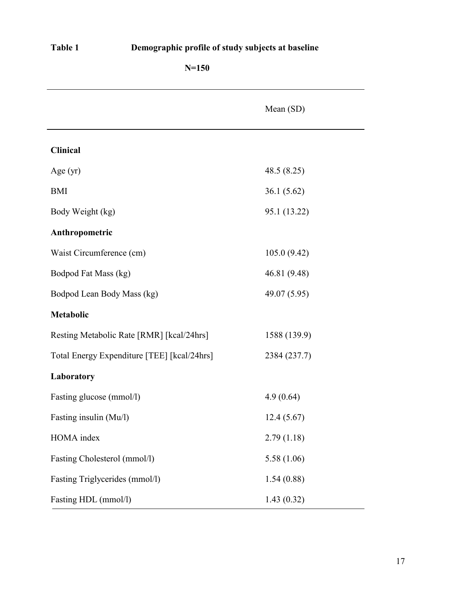| H<br>וח<br>. е |  |
|----------------|--|
|----------------|--|

## Demographic profile of study subjects at baseline

|                                             | Mean (SD)    |  |
|---------------------------------------------|--------------|--|
| Clinical                                    |              |  |
| Age $(yr)$                                  | 48.5(8.25)   |  |
| <b>BMI</b>                                  | 36.1(5.62)   |  |
| Body Weight (kg)                            | 95.1 (13.22) |  |
| Anthropometric                              |              |  |
| Waist Circumference (cm)                    | 105.0(9.42)  |  |
| Bodpod Fat Mass (kg)                        | 46.81 (9.48) |  |
| Bodpod Lean Body Mass (kg)                  | 49.07 (5.95) |  |
| Metabolic                                   |              |  |
| Resting Metabolic Rate [RMR] [kcal/24hrs]   | 1588 (139.9) |  |
| Total Energy Expenditure [TEE] [kcal/24hrs] | 2384 (237.7) |  |
| Laboratory                                  |              |  |
| Fasting glucose (mmol/l)                    | 4.9(0.64)    |  |
| Fasting insulin (Mu/l)                      | 12.4(5.67)   |  |
| HOMA index                                  | 2.79(1.18)   |  |
| Fasting Cholesterol (mmol/l)                | 5.58(1.06)   |  |
| Fasting Triglycerides (mmol/l)              | 1.54(0.88)   |  |
| Fasting HDL (mmol/l)                        | 1.43(0.32)   |  |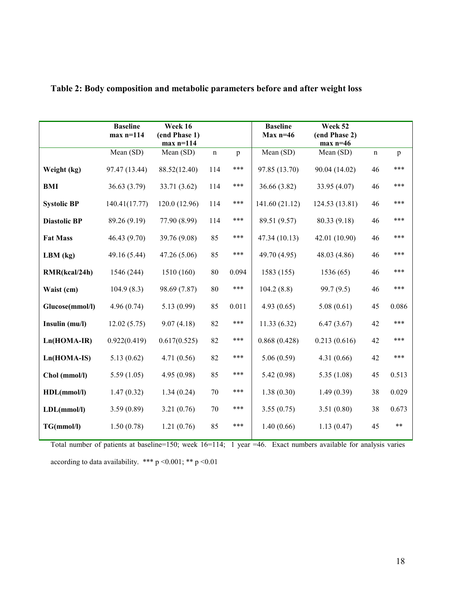|                     | <b>Baseline</b><br>$max n=114$ | Week 16<br>(end Phase 1)<br>$max n=114$ |             |              | <b>Baseline</b><br>$Max n=46$ | Week 52<br>(end Phase 2)<br>$max n=46$ |             |       |
|---------------------|--------------------------------|-----------------------------------------|-------------|--------------|-------------------------------|----------------------------------------|-------------|-------|
|                     | Mean (SD)                      | Mean (SD)                               | $\mathbf n$ | $\mathbf{p}$ | Mean (SD)                     | Mean (SD)                              | $\mathbf n$ | p     |
| Weight (kg)         | 97.47 (13.44)                  | 88.52(12.40)                            | 114         | ***          | 97.85 (13.70)                 | 90.04 (14.02)                          | 46          | ***   |
| <b>BMI</b>          | 36.63(3.79)                    | 33.71 (3.62)                            | 114         | ***          | 36.66 (3.82)                  | 33.95 (4.07)                           | 46          | ***   |
| <b>Systolic BP</b>  | 140.41(17.77)                  | 120.0 (12.96)                           | 114         | ***          | 141.60(21.12)                 | 124.53 (13.81)                         | 46          | ***   |
| <b>Diastolic BP</b> | 89.26 (9.19)                   | 77.90 (8.99)                            | 114         | ***          | 89.51 (9.57)                  | 80.33 (9.18)                           | 46          | ***   |
| <b>Fat Mass</b>     | 46.43 (9.70)                   | 39.76 (9.08)                            | 85          | ***          | 47.34 (10.13)                 | 42.01 (10.90)                          | 46          | ***   |
| $LBM$ (kg)          | 49.16 (5.44)                   | 47.26 (5.06)                            | 85          | ***          | 49.70 (4.95)                  | 48.03 (4.86)                           | 46          | ***   |
| RMR(kcal/24h)       | 1546 (244)                     | 1510 (160)                              | 80          | 0.094        | 1583 (155)                    | 1536(65)                               | 46          | ***   |
| Waist (cm)          | 104.9(8.3)                     | 98.69 (7.87)                            | 80          | ***          | 104.2(8.8)                    | 99.7(9.5)                              | 46          | ***   |
| Glucose(mmol/l)     | 4.96(0.74)                     | 5.13(0.99)                              | 85          | 0.011        | 4.93(0.65)                    | 5.08(0.61)                             | 45          | 0.086 |
| Insulin (mu/l)      | 12.02(5.75)                    | 9.07(4.18)                              | 82          | ***          | 11.33(6.32)                   | 6.47(3.67)                             | 42          | ***   |
| $Ln(HOMA-IR)$       | 0.922(0.419)                   | 0.617(0.525)                            | 82          | ***          | 0.868(0.428)                  | 0.213(0.616)                           | 42          | ***   |
| Ln(HOMA-IS)         | 5.13(0.62)                     | 4.71(0.56)                              | 82          | ***          | 5.06(0.59)                    | 4.31(0.66)                             | 42          | ***   |
| Chol (mmol/l)       | 5.59(1.05)                     | 4.95 (0.98)                             | 85          | ***          | 5.42(0.98)                    | 5.35(1.08)                             | 45          | 0.513 |
| HDL(mmol/l)         | 1.47(0.32)                     | 1.34(0.24)                              | 70          | ***          | 1.38(0.30)                    | 1.49(0.39)                             | 38          | 0.029 |
| LDL(mmol/l)         | 3.59(0.89)                     | 3.21(0.76)                              | 70          | ***          | 3.55(0.75)                    | 3.51(0.80)                             | 38          | 0.673 |
| TG(mmol/l)          | 1.50(0.78)                     | 1.21(0.76)                              | 85          | ***          | 1.40(0.66)                    | 1.13(0.47)                             | 45          | $***$ |

## Table 2: Body composition and metabolic parameters before and after weight loss

Total number of patients at baseline=150; week 16=114; 1 year =46. Exact numbers available for analysis varies according to data availability. \*\*\* p <0.001; \*\* p <0.01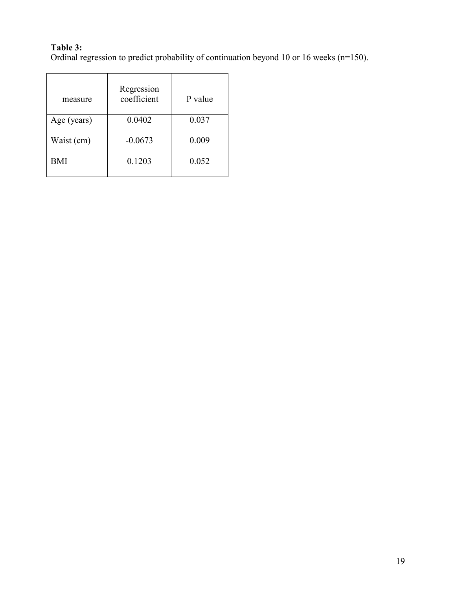## Table 3:

Ordinal regression to predict probability of continuation beyond 10 or 16 weeks (n=150).

| measure              | Regression<br>coefficient | P value |  |
|----------------------|---------------------------|---------|--|
| Age (years)          | 0.0402                    | 0.037   |  |
| Waist (cm)           | $-0.0673$                 | 0.009   |  |
| <b>BMI</b><br>0.1203 |                           | 0.052   |  |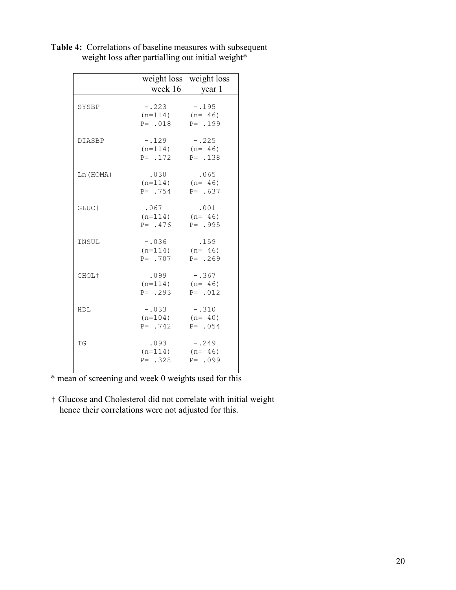|                   |                                                               | weight loss weight loss<br>week 16 year 1 |
|-------------------|---------------------------------------------------------------|-------------------------------------------|
| SYSBP             | $-.223$<br>$(n=114)$ $(n=46)$<br>$P = .018$ $P = .199$        | $-.195$                                   |
| <b>DIASBP</b>     | $-.129 - .225$<br>$(n=114)$ $(n=46)$<br>$P = .172$ $P = .138$ |                                           |
| Ln (HOMA)         | .030<br>$(n=114)$ $(n=46)$<br>$P = .754$ $P = .637$           | .065                                      |
| GLUC <sup>+</sup> | .067<br>$(n=114)$ $(n=46)$<br>$P = .476$ $P = .995$           | .001                                      |
| INSUL             | $-.036$<br>$(n=114)$ $(n=46)$<br>$P = 707$                    | .159<br>$P = 269$                         |
| CHOL <sup>+</sup> | $.099 - .367$<br>$(n=114)$ $(n=46)$<br>$P = .293$ $P = .012$  |                                           |
| HDL               | $-.033$<br>$(n=104)$ $(n=40)$<br>$P = 742$                    | $-.310$<br>$P = 0.054$                    |
| TG                | .093<br>$(n=114)$ $(n=46)$<br>$P = .328$ $P = .099$           | $-.249$                                   |

Table 4: Correlations of baseline measures with subsequent weight loss after partialling out initial weight\*

\* mean of screening and week 0 weights used for this

† Glucose and Cholesterol did not correlate with initial weight hence their correlations were not adjusted for this.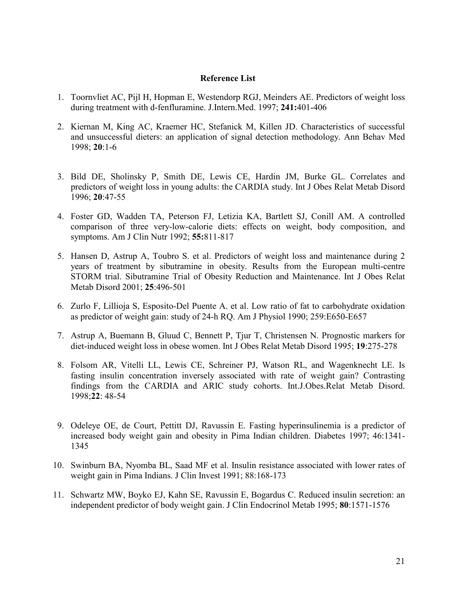#### Reference List

- 1. Toornvliet AC, Pijl H, Hopman E, Westendorp RGJ, Meinders AE. Predictors of weight loss during treatment with d-fenfluramine. J.Intern.Med. 1997; 241:401-406
- 2. Kiernan M, King AC, Kraemer HC, Stefanick M, Killen JD. Characteristics of successful and unsuccessful dieters: an application of signal detection methodology. Ann Behav Med 1998; 20:1-6
- 3. Bild DE, Sholinsky P, Smith DE, Lewis CE, Hardin JM, Burke GL. Correlates and predictors of weight loss in young adults: the CARDIA study. Int J Obes Relat Metab Disord 1996; 20:47-55
- 4. Foster GD, Wadden TA, Peterson FJ, Letizia KA, Bartlett SJ, Conill AM. A controlled comparison of three very-low-calorie diets: effects on weight, body composition, and symptoms. Am J Clin Nutr 1992; 55:811-817
- 5. Hansen D, Astrup A, Toubro S. et al. Predictors of weight loss and maintenance during 2 years of treatment by sibutramine in obesity. Results from the European multi-centre STORM trial. Sibutramine Trial of Obesity Reduction and Maintenance. Int J Obes Relat Metab Disord 2001; 25:496-501
- 6. Zurlo F, Lillioja S, Esposito-Del Puente A. et al. Low ratio of fat to carbohydrate oxidation as predictor of weight gain: study of 24-h RQ. Am J Physiol 1990; 259:E650-E657
- 7. Astrup A, Buemann B, Gluud C, Bennett P, Tjur T, Christensen N. Prognostic markers for diet-induced weight loss in obese women. Int J Obes Relat Metab Disord 1995; 19:275-278
- 8. Folsom AR, Vitelli LL, Lewis CE, Schreiner PJ, Watson RL, and Wagenknecht LE. Is fasting insulin concentration inversely associated with rate of weight gain? Contrasting findings from the CARDIA and ARIC study cohorts. Int.J.Obes.Relat Metab Disord. 1998;22: 48-54
- 9. Odeleye OE, de Court, Pettitt DJ, Ravussin E. Fasting hyperinsulinemia is a predictor of increased body weight gain and obesity in Pima Indian children. Diabetes 1997; 46:1341- 1345
- 10. Swinburn BA, Nyomba BL, Saad MF et al. Insulin resistance associated with lower rates of weight gain in Pima Indians. J Clin Invest 1991; 88:168-173
- 11. Schwartz MW, Boyko EJ, Kahn SE, Ravussin E, Bogardus C. Reduced insulin secretion: an independent predictor of body weight gain. J Clin Endocrinol Metab 1995; 80:1571-1576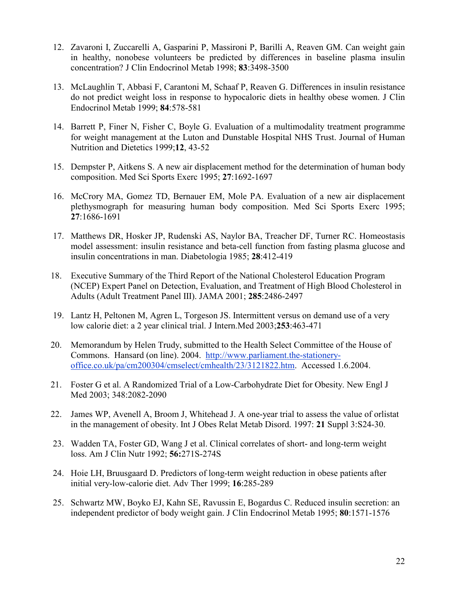- 12. Zavaroni I, Zuccarelli A, Gasparini P, Massironi P, Barilli A, Reaven GM. Can weight gain in healthy, nonobese volunteers be predicted by differences in baseline plasma insulin concentration? J Clin Endocrinol Metab 1998; 83:3498-3500
- 13. McLaughlin T, Abbasi F, Carantoni M, Schaaf P, Reaven G. Differences in insulin resistance do not predict weight loss in response to hypocaloric diets in healthy obese women. J Clin Endocrinol Metab 1999; 84:578-581
- 14. Barrett P, Finer N, Fisher C, Boyle G. Evaluation of a multimodality treatment programme for weight management at the Luton and Dunstable Hospital NHS Trust. Journal of Human Nutrition and Dietetics 1999;12, 43-52
- 15. Dempster P, Aitkens S. A new air displacement method for the determination of human body composition. Med Sci Sports Exerc 1995; 27:1692-1697
- 16. McCrory MA, Gomez TD, Bernauer EM, Mole PA. Evaluation of a new air displacement plethysmograph for measuring human body composition. Med Sci Sports Exerc 1995; 27:1686-1691
- 17. Matthews DR, Hosker JP, Rudenski AS, Naylor BA, Treacher DF, Turner RC. Homeostasis model assessment: insulin resistance and beta-cell function from fasting plasma glucose and insulin concentrations in man. Diabetologia 1985; 28:412-419
- 18. Executive Summary of the Third Report of the National Cholesterol Education Program (NCEP) Expert Panel on Detection, Evaluation, and Treatment of High Blood Cholesterol in Adults (Adult Treatment Panel III). JAMA 2001; 285:2486-2497
- 19. Lantz H, Peltonen M, Agren L, Torgeson JS. Intermittent versus on demand use of a very low calorie diet: a 2 year clinical trial. J Intern.Med 2003;253:463-471
- 20. Memorandum by Helen Trudy, submitted to the Health Select Committee of the House of Commons. Hansard (on line). 2004. http://www.parliament.the-stationeryoffice.co.uk/pa/cm200304/cmselect/cmhealth/23/3121822.htm. Accessed 1.6.2004.
- 21. Foster G et al. A Randomized Trial of a Low-Carbohydrate Diet for Obesity. New Engl J Med 2003; 348:2082-2090
- 22. James WP, Avenell A, Broom J, Whitehead J. A one-year trial to assess the value of orlistat in the management of obesity. Int J Obes Relat Metab Disord. 1997: 21 Suppl 3:S24-30.
- 23. Wadden TA, Foster GD, Wang J et al. Clinical correlates of short- and long-term weight loss. Am J Clin Nutr 1992; 56:271S-274S
- 24. Hoie LH, Bruusgaard D. Predictors of long-term weight reduction in obese patients after initial very-low-calorie diet. Adv Ther 1999; 16:285-289
- 25. Schwartz MW, Boyko EJ, Kahn SE, Ravussin E, Bogardus C. Reduced insulin secretion: an independent predictor of body weight gain. J Clin Endocrinol Metab 1995; 80:1571-1576